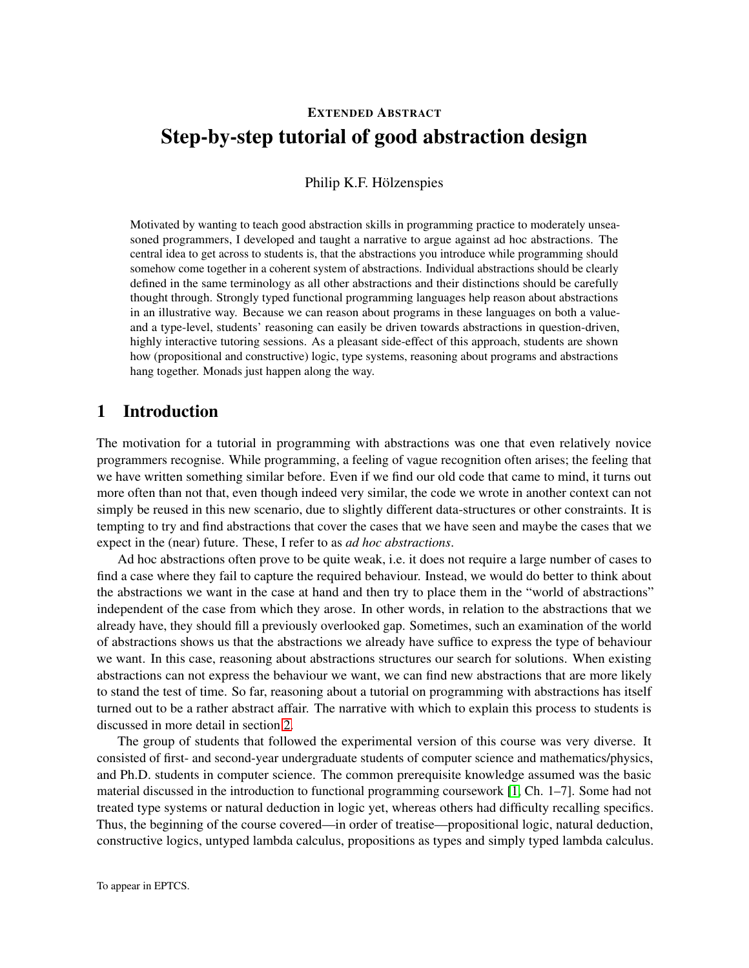# EXTENDED ABSTRACT Step-by-step tutorial of good abstraction design

### Philip K.F. Hölzenspies

Motivated by wanting to teach good abstraction skills in programming practice to moderately unseasoned programmers, I developed and taught a narrative to argue against ad hoc abstractions. The central idea to get across to students is, that the abstractions you introduce while programming should somehow come together in a coherent system of abstractions. Individual abstractions should be clearly defined in the same terminology as all other abstractions and their distinctions should be carefully thought through. Strongly typed functional programming languages help reason about abstractions in an illustrative way. Because we can reason about programs in these languages on both a valueand a type-level, students' reasoning can easily be driven towards abstractions in question-driven, highly interactive tutoring sessions. As a pleasant side-effect of this approach, students are shown how (propositional and constructive) logic, type systems, reasoning about programs and abstractions hang together. Monads just happen along the way.

# 1 Introduction

The motivation for a tutorial in programming with abstractions was one that even relatively novice programmers recognise. While programming, a feeling of vague recognition often arises; the feeling that we have written something similar before. Even if we find our old code that came to mind, it turns out more often than not that, even though indeed very similar, the code we wrote in another context can not simply be reused in this new scenario, due to slightly different data-structures or other constraints. It is tempting to try and find abstractions that cover the cases that we have seen and maybe the cases that we expect in the (near) future. These, I refer to as *ad hoc abstractions*.

Ad hoc abstractions often prove to be quite weak, i.e. it does not require a large number of cases to find a case where they fail to capture the required behaviour. Instead, we would do better to think about the abstractions we want in the case at hand and then try to place them in the "world of abstractions" independent of the case from which they arose. In other words, in relation to the abstractions that we already have, they should fill a previously overlooked gap. Sometimes, such an examination of the world of abstractions shows us that the abstractions we already have suffice to express the type of behaviour we want. In this case, reasoning about abstractions structures our search for solutions. When existing abstractions can not express the behaviour we want, we can find new abstractions that are more likely to stand the test of time. So far, reasoning about a tutorial on programming with abstractions has itself turned out to be a rather abstract affair. The narrative with which to explain this process to students is discussed in more detail in section [2.](#page-1-0)

The group of students that followed the experimental version of this course was very diverse. It consisted of first- and second-year undergraduate students of computer science and mathematics/physics, and Ph.D. students in computer science. The common prerequisite knowledge assumed was the basic material discussed in the introduction to functional programming coursework [\[1,](#page-5-0) Ch. 1–7]. Some had not treated type systems or natural deduction in logic yet, whereas others had difficulty recalling specifics. Thus, the beginning of the course covered—in order of treatise—propositional logic, natural deduction, constructive logics, untyped lambda calculus, propositions as types and simply typed lambda calculus.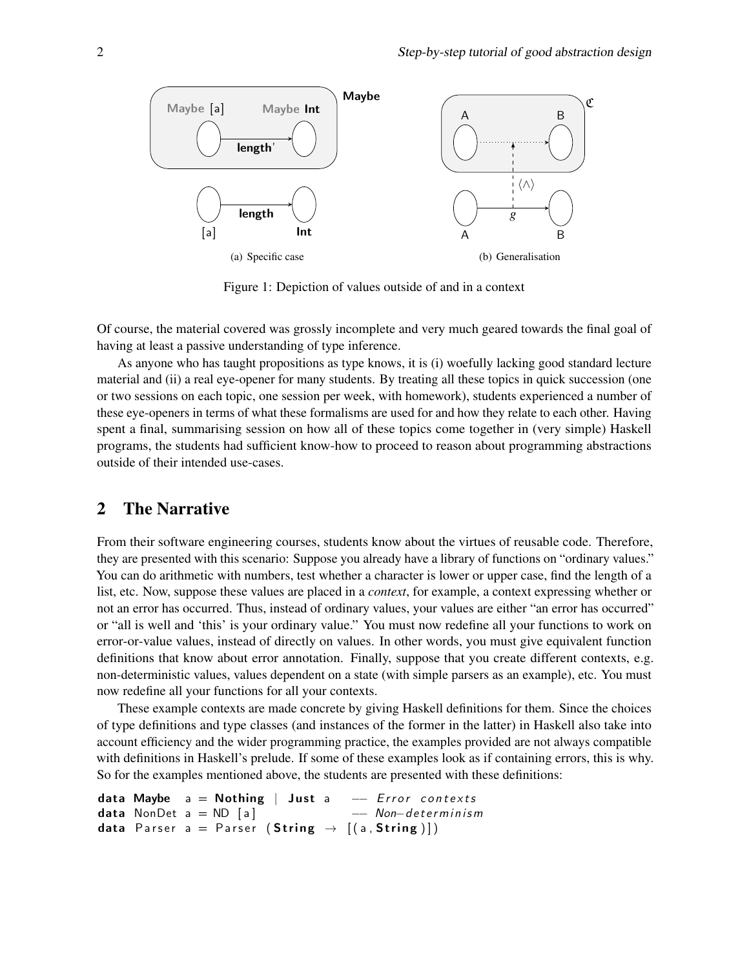<span id="page-1-1"></span>

<span id="page-1-2"></span>Figure 1: Depiction of values outside of and in a context

Of course, the material covered was grossly incomplete and very much geared towards the final goal of having at least a passive understanding of type inference.

As anyone who has taught propositions as type knows, it is (i) woefully lacking good standard lecture material and (ii) a real eye-opener for many students. By treating all these topics in quick succession (one or two sessions on each topic, one session per week, with homework), students experienced a number of these eye-openers in terms of what these formalisms are used for and how they relate to each other. Having spent a final, summarising session on how all of these topics come together in (very simple) Haskell programs, the students had sufficient know-how to proceed to reason about programming abstractions outside of their intended use-cases.

# <span id="page-1-0"></span>2 The Narrative

From their software engineering courses, students know about the virtues of reusable code. Therefore, they are presented with this scenario: Suppose you already have a library of functions on "ordinary values." You can do arithmetic with numbers, test whether a character is lower or upper case, find the length of a list, etc. Now, suppose these values are placed in a *context*, for example, a context expressing whether or not an error has occurred. Thus, instead of ordinary values, your values are either "an error has occurred" or "all is well and 'this' is your ordinary value." You must now redefine all your functions to work on error-or-value values, instead of directly on values. In other words, you must give equivalent function definitions that know about error annotation. Finally, suppose that you create different contexts, e.g. non-deterministic values, values dependent on a state (with simple parsers as an example), etc. You must now redefine all your functions for all your contexts.

These example contexts are made concrete by giving Haskell definitions for them. Since the choices of type definitions and type classes (and instances of the former in the latter) in Haskell also take into account efficiency and the wider programming practice, the examples provided are not always compatible with definitions in Haskell's prelude. If some of these examples look as if containing errors, this is why. So for the examples mentioned above, the students are presented with these definitions:

```
data Maybe a = Nothing | Just a - Error contexts
data NonDet a = ND [a] -- Non-determinism
data Parser a = Parser (String \rightarrow [(a, String)])
```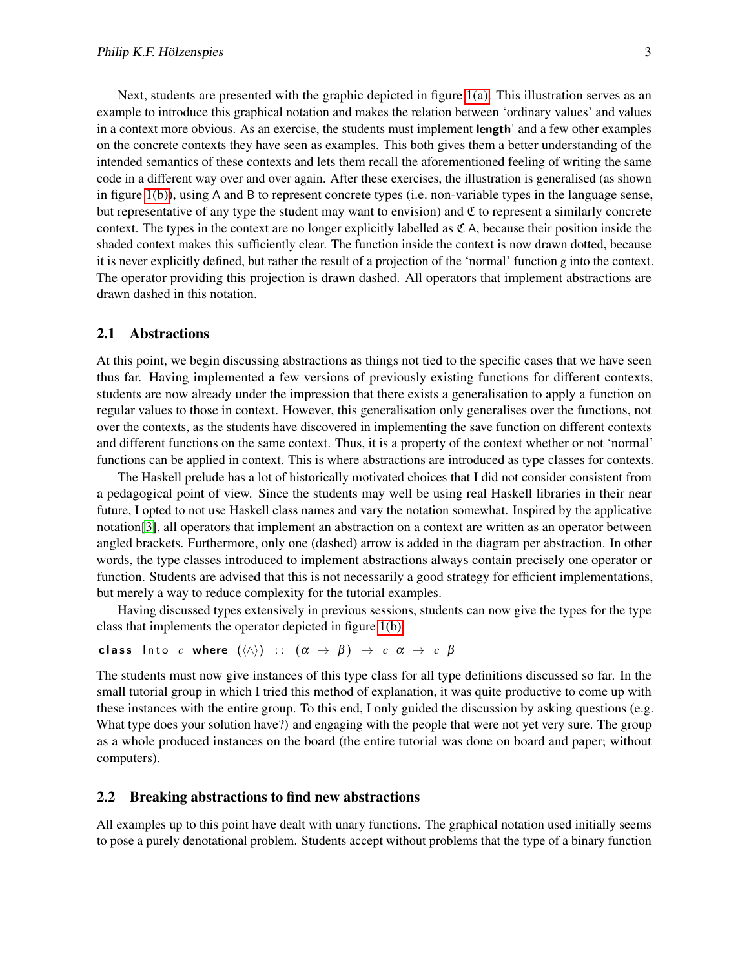Next, students are presented with the graphic depicted in figure [1\(a\).](#page-1-1) This illustration serves as an example to introduce this graphical notation and makes the relation between 'ordinary values' and values in a context more obvious. As an exercise, the students must implement length' and a few other examples on the concrete contexts they have seen as examples. This both gives them a better understanding of the intended semantics of these contexts and lets them recall the aforementioned feeling of writing the same code in a different way over and over again. After these exercises, the illustration is generalised (as shown in figure [1\(b\)\)](#page-1-2), using A and B to represent concrete types (i.e. non-variable types in the language sense, but representative of any type the student may want to envision) and  $\mathfrak C$  to represent a similarly concrete context. The types in the context are no longer explicitly labelled as  $\mathfrak{C}$  A, because their position inside the shaded context makes this sufficiently clear. The function inside the context is now drawn dotted, because it is never explicitly defined, but rather the result of a projection of the 'normal' function g into the context. The operator providing this projection is drawn dashed. All operators that implement abstractions are drawn dashed in this notation.

#### 2.1 Abstractions

At this point, we begin discussing abstractions as things not tied to the specific cases that we have seen thus far. Having implemented a few versions of previously existing functions for different contexts, students are now already under the impression that there exists a generalisation to apply a function on regular values to those in context. However, this generalisation only generalises over the functions, not over the contexts, as the students have discovered in implementing the save function on different contexts and different functions on the same context. Thus, it is a property of the context whether or not 'normal' functions can be applied in context. This is where abstractions are introduced as type classes for contexts.

The Haskell prelude has a lot of historically motivated choices that I did not consider consistent from a pedagogical point of view. Since the students may well be using real Haskell libraries in their near future, I opted to not use Haskell class names and vary the notation somewhat. Inspired by the applicative notation[\[3\]](#page-5-1), all operators that implement an abstraction on a context are written as an operator between angled brackets. Furthermore, only one (dashed) arrow is added in the diagram per abstraction. In other words, the type classes introduced to implement abstractions always contain precisely one operator or function. Students are advised that this is not necessarily a good strategy for efficient implementations, but merely a way to reduce complexity for the tutorial examples.

Having discussed types extensively in previous sessions, students can now give the types for the type class that implements the operator depicted in figure [1\(b\):](#page-1-2)

```
class Into c where (\langle \wedge \rangle) :: (\alpha \rightarrow \beta) \rightarrow c \alpha \rightarrow c \beta
```
The students must now give instances of this type class for all type definitions discussed so far. In the small tutorial group in which I tried this method of explanation, it was quite productive to come up with these instances with the entire group. To this end, I only guided the discussion by asking questions (e.g. What type does your solution have?) and engaging with the people that were not yet very sure. The group as a whole produced instances on the board (the entire tutorial was done on board and paper; without computers).

#### <span id="page-2-0"></span>2.2 Breaking abstractions to find new abstractions

All examples up to this point have dealt with unary functions. The graphical notation used initially seems to pose a purely denotational problem. Students accept without problems that the type of a binary function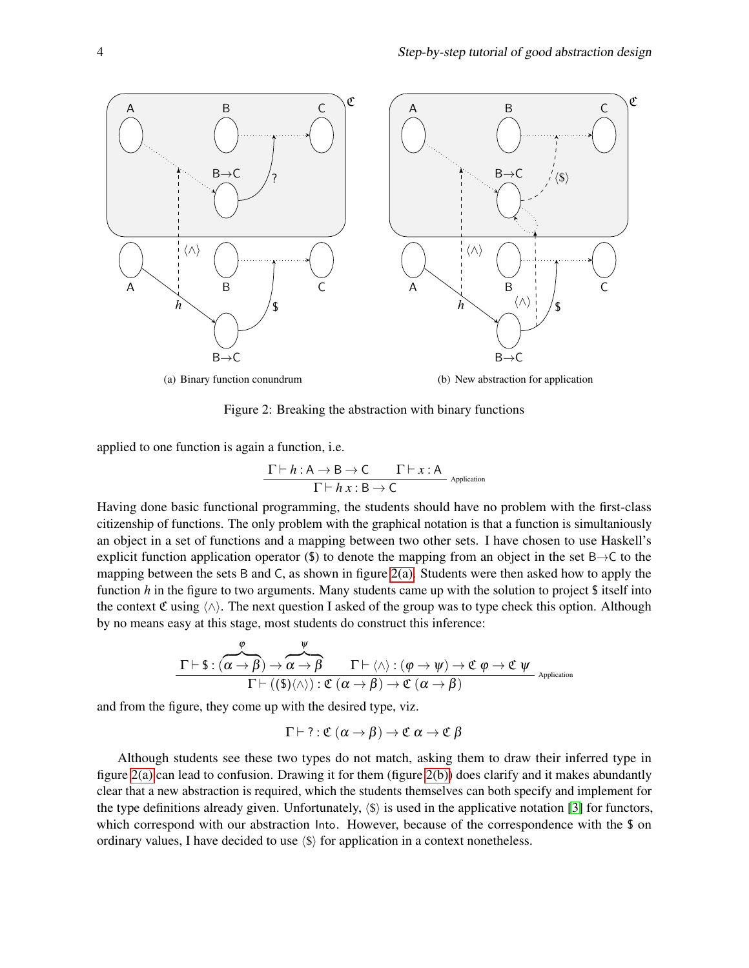<span id="page-3-0"></span>

Figure 2: Breaking the abstraction with binary functions

applied to one function is again a function, i.e.

<span id="page-3-1"></span>
$$
\frac{\Gamma \vdash h : A \to B \to C \qquad \Gamma \vdash x : A}{\Gamma \vdash h \ x : B \to C}
$$
 <sub>Application</sub>

Having done basic functional programming, the students should have no problem with the first-class citizenship of functions. The only problem with the graphical notation is that a function is simultaniously an object in a set of functions and a mapping between two other sets. I have chosen to use Haskell's explicit function application operator (\$) to denote the mapping from an object in the set  $B \rightarrow C$  to the mapping between the sets B and C, as shown in figure [2\(a\).](#page-3-0) Students were then asked how to apply the function *h* in the figure to two arguments. Many students came up with the solution to project \$ itself into the context C using  $\langle \wedge \rangle$ . The next question I asked of the group was to type check this option. Although by no means easy at this stage, most students do construct this inference:

$$
\frac{\varphi}{\Gamma\vdash \texttt{\$}: (\alpha\rightarrow\beta)\rightarrow\alpha\rightarrow\beta}\frac{\psi}{\Gamma\vdash(\wedge):(\varphi\rightarrow\psi)\rightarrow\mathfrak{C}\ \varphi\rightarrow\mathfrak{C}\ \psi}
$$
\n
$$
\frac{\Gamma\vdash((\texttt{\$})\langle\wedge\rangle):\mathfrak{C}\ (\alpha\rightarrow\beta)\rightarrow\mathfrak{C}\ (\alpha\rightarrow\beta)}{\Gamma\vdash((\texttt{\$})\langle\wedge\rangle):\mathfrak{C}\ (\alpha\rightarrow\beta)\rightarrow\mathfrak{C}\ (\alpha\rightarrow\beta)}
$$

and from the figure, they come up with the desired type, viz.

$$
\Gamma \vdash \mathsf{?} : \mathfrak{C} \; (\alpha \to \beta) \to \mathfrak{C} \; \alpha \to \mathfrak{C} \; \beta
$$

Although students see these two types do not match, asking them to draw their inferred type in figure  $2(a)$  can lead to confusion. Drawing it for them (figure  $2(b)$ ) does clarify and it makes abundantly clear that a new abstraction is required, which the students themselves can both specify and implement for the type definitions already given. Unfortunately,  $\langle \hat{\mathbf{s}} \rangle$  is used in the applicative notation [\[3\]](#page-5-1) for functors, which correspond with our abstraction Into. However, because of the correspondence with the \$ on ordinary values, I have decided to use  $\langle \hat{\mathbf{s}} \rangle$  for application in a context nonetheless.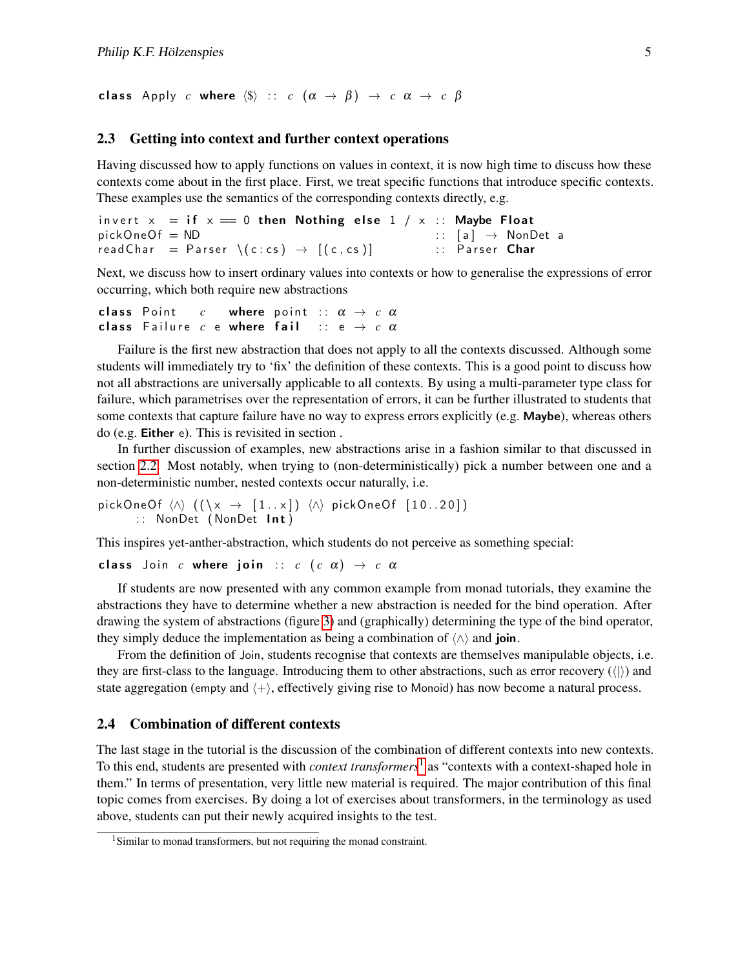class Apply *c* where  $\langle \$\rangle$  :: *c*  $(\alpha \rightarrow \beta) \rightarrow c \alpha \rightarrow c \beta$ 

#### 2.3 Getting into context and further context operations

Having discussed how to apply functions on values in context, it is now high time to discuss how these contexts come about in the first place. First, we treat specific functions that introduce specific contexts. These examples use the semantics of the corresponding contexts directly, e.g.

```
invert x = if x == 0 then Nothing else 1 / x :: Maybe Float
\text{pickOneOf} = \text{ND} :: [a] \rightarrow \text{NonDet} a
readChar = Parser \setminus (c:cs) \rightarrow [(c,cs)] :: Parser Char
```
Next, we discuss how to insert ordinary values into contexts or how to generalise the expressions of error occurring, which both require new abstractions

```
class Point c where point :: \alpha \rightarrow c \alphaclass Failure c e where fail :: e \rightarrow c \alpha
```
Failure is the first new abstraction that does not apply to all the contexts discussed. Although some students will immediately try to 'fix' the definition of these contexts. This is a good point to discuss how not all abstractions are universally applicable to all contexts. By using a multi-parameter type class for failure, which parametrises over the representation of errors, it can be further illustrated to students that some contexts that capture failure have no way to express errors explicitly (e.g. Maybe), whereas others do (e.g. Either e). This is revisited in section .

In further discussion of examples, new abstractions arise in a fashion similar to that discussed in section [2.2.](#page-2-0) Most notably, when trying to (non-deterministically) pick a number between one and a non-deterministic number, nested contexts occur naturally, i.e.

pickOneOf  $\langle \wedge \rangle$  ( $(\lambda \rightarrow [1..x]) \langle \wedge \rangle$  pickOneOf [10..20]) :: NonDet (NonDet Int)

This inspires yet-anther-abstraction, which students do not perceive as something special:

class Join *c* where join ::  $c$  ( $c \alpha$ )  $\rightarrow$   $c \alpha$ 

If students are now presented with any common example from monad tutorials, they examine the abstractions they have to determine whether a new abstraction is needed for the bind operation. After drawing the system of abstractions (figure [3\)](#page-5-2) and (graphically) determining the type of the bind operator, they simply deduce the implementation as being a combination of  $\langle \wedge \rangle$  and join.

From the definition of Join, students recognise that contexts are themselves manipulable objects, i.e. they are first-class to the language. Introducing them to other abstractions, such as error recovery  $(\langle \rangle)$  and state aggregation (empty and  $\langle + \rangle$ , effectively giving rise to Monoid) has now become a natural process.

#### 2.4 Combination of different contexts

The last stage in the tutorial is the discussion of the combination of different contexts into new contexts. To this end, students are presented with *context transformers*<sup>[1](#page-4-0)</sup> as "contexts with a context-shaped hole in them." In terms of presentation, very little new material is required. The major contribution of this final topic comes from exercises. By doing a lot of exercises about transformers, in the terminology as used above, students can put their newly acquired insights to the test.

<span id="page-4-0"></span><sup>&</sup>lt;sup>1</sup>Similar to monad transformers, but not requiring the monad constraint.